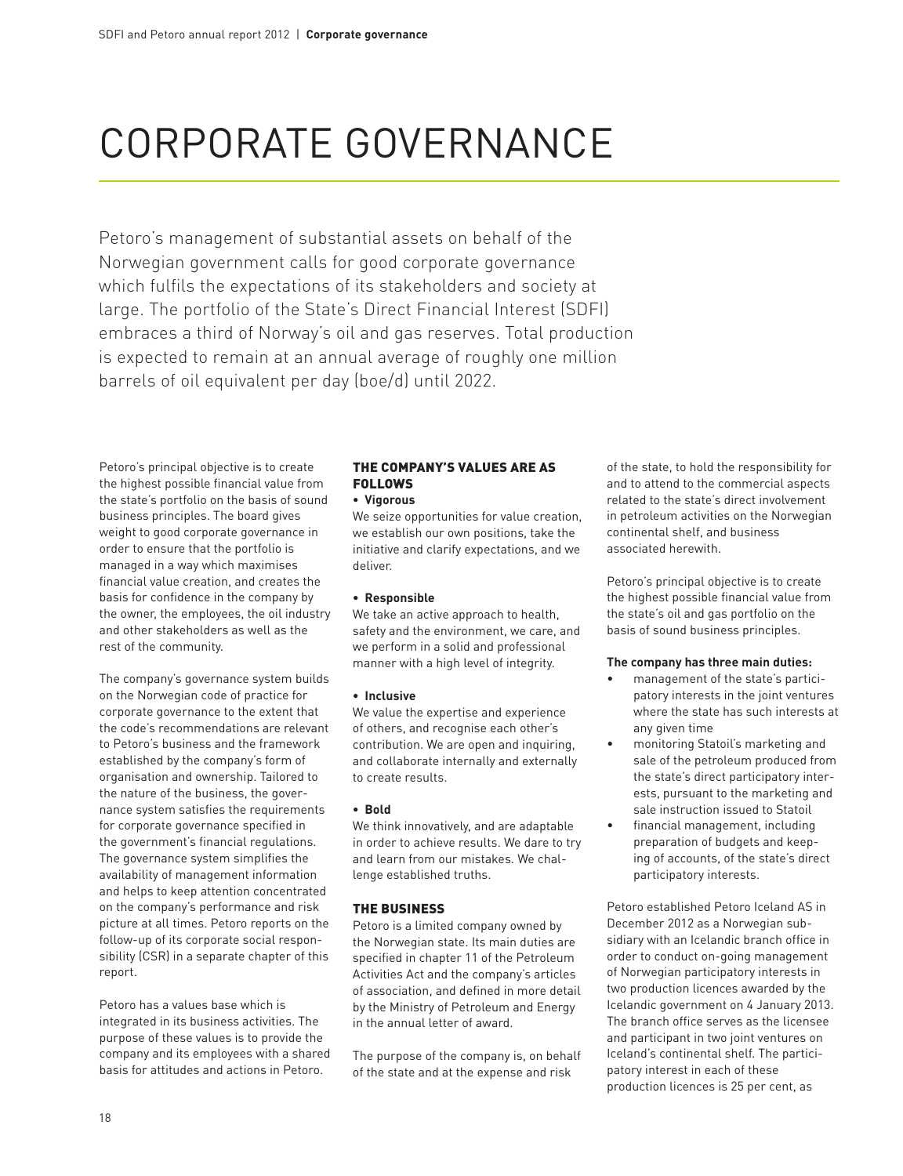# Corporate governance

Petoro's management of substantial assets on behalf of the Norwegian government calls for good corporate governance which fulfils the expectations of its stakeholders and society at large. The portfolio of the State's Direct Financial Interest (SDFI) embraces a third of Norway's oil and gas reserves. Total production is expected to remain at an annual average of roughly one million barrels of oil equivalent per day (boe/d) until 2022.

Petoro's principal objective is to create the highest possible financial value from the state's portfolio on the basis of sound business principles. The board gives weight to good corporate governance in order to ensure that the portfolio is managed in a way which maximises financial value creation, and creates the basis for confidence in the company by the owner, the employees, the oil industry and other stakeholders as well as the rest of the community.

The company's governance system builds on the Norwegian code of practice for corporate governance to the extent that the code's recommendations are relevant to Petoro's business and the framework established by the company's form of organisation and ownership. Tailored to the nature of the business, the governance system satisfies the requirements for corporate governance specified in the government's financial regulations. The governance system simplifies the availability of management information and helps to keep attention concentrated on the company's performance and risk picture at all times. Petoro reports on the follow-up of its corporate social responsibility (CSR) in a separate chapter of this report.

Petoro has a values base which is integrated in its business activities. The purpose of these values is to provide the company and its employees with a shared basis for attitudes and actions in Petoro.

## The company's values are as follows

**• Vigorous**

We seize opportunities for value creation, we establish our own positions, take the initiative and clarify expectations, and we deliver.

## **• Responsible**

We take an active approach to health, safety and the environment, we care, and we perform in a solid and professional manner with a high level of integrity.

#### **• Inclusive**

We value the expertise and experience of others, and recognise each other's contribution. We are open and inquiring, and collaborate internally and externally to create results.

## **• Bold**

We think innovatively, and are adaptable in order to achieve results. We dare to try and learn from our mistakes. We challenge established truths.

#### The business

Petoro is a limited company owned by the Norwegian state. Its main duties are specified in chapter 11 of the Petroleum Activities Act and the company's articles of association, and defined in more detail by the Ministry of Petroleum and Energy in the annual letter of award.

The purpose of the company is, on behalf of the state and at the expense and risk

of the state, to hold the responsibility for and to attend to the commercial aspects related to the state's direct involvement in petroleum activities on the Norwegian continental shelf, and business associated herewith.

Petoro's principal objective is to create the highest possible financial value from the state's oil and gas portfolio on the basis of sound business principles.

#### **The company has three main duties:**

- management of the state's participatory interests in the joint ventures where the state has such interests at any given time
- monitoring Statoil's marketing and sale of the petroleum produced from the state's direct participatory interests, pursuant to the marketing and sale instruction issued to Statoil
- • financial management, including preparation of budgets and keeping of accounts, of the state's direct participatory interests.

Petoro established Petoro Iceland AS in December 2012 as a Norwegian subsidiary with an Icelandic branch office in order to conduct on-going management of Norwegian participatory interests in two production licences awarded by the Icelandic government on 4 January 2013. The branch office serves as the licensee and participant in two joint ventures on Iceland's continental shelf. The participatory interest in each of these production licences is 25 per cent, as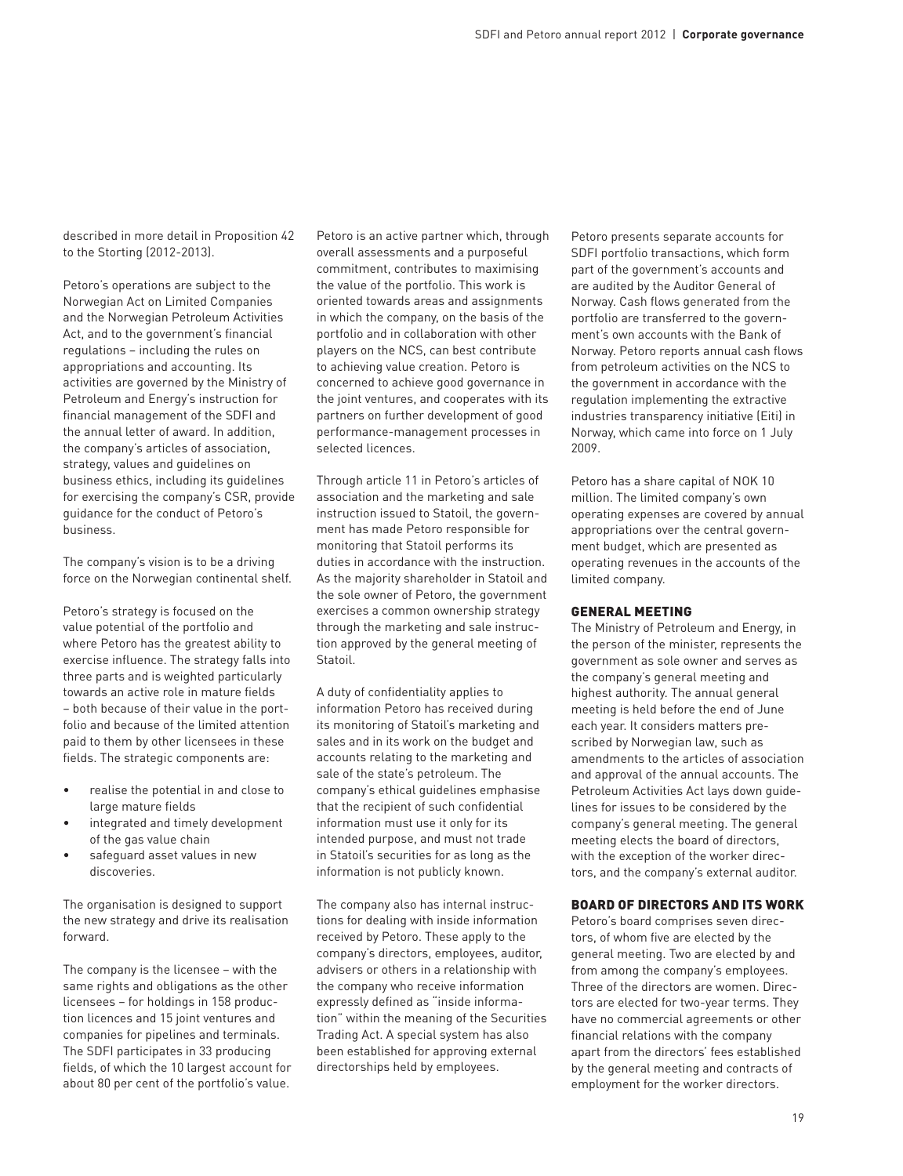described in more detail in Proposition 42 to the Storting (2012-2013).

Petoro's operations are subject to the Norwegian Act on Limited Companies and the Norwegian Petroleum Activities Act, and to the government's financial regulations – including the rules on appropriations and accounting. Its activities are governed by the Ministry of Petroleum and Energy's instruction for financial management of the SDFI and the annual letter of award. In addition, the company's articles of association, strategy, values and guidelines on business ethics, including its guidelines for exercising the company's CSR, provide guidance for the conduct of Petoro's business.

The company's vision is to be a driving force on the Norwegian continental shelf.

Petoro's strategy is focused on the value potential of the portfolio and where Petoro has the greatest ability to exercise influence. The strategy falls into three parts and is weighted particularly towards an active role in mature fields – both because of their value in the portfolio and because of the limited attention paid to them by other licensees in these fields. The strategic components are:

- realise the potential in and close to large mature fields
- integrated and timely development of the gas value chain
- safeguard asset values in new discoveries.

The organisation is designed to support the new strategy and drive its realisation forward.

The company is the licensee – with the same rights and obligations as the other licensees – for holdings in 158 production licences and 15 joint ventures and companies for pipelines and terminals. The SDFI participates in 33 producing fields, of which the 10 largest account for about 80 per cent of the portfolio's value.

Petoro is an active partner which, through overall assessments and a purposeful commitment, contributes to maximising the value of the portfolio. This work is oriented towards areas and assignments in which the company, on the basis of the portfolio and in collaboration with other players on the NCS, can best contribute to achieving value creation. Petoro is concerned to achieve good governance in the joint ventures, and cooperates with its partners on further development of good performance-management processes in selected licences.

Through article 11 in Petoro's articles of association and the marketing and sale instruction issued to Statoil, the government has made Petoro responsible for monitoring that Statoil performs its duties in accordance with the instruction. As the majority shareholder in Statoil and the sole owner of Petoro, the government exercises a common ownership strategy through the marketing and sale instruction approved by the general meeting of Statoil.

A duty of confidentiality applies to information Petoro has received during its monitoring of Statoil's marketing and sales and in its work on the budget and accounts relating to the marketing and sale of the state's petroleum. The company's ethical guidelines emphasise that the recipient of such confidential information must use it only for its intended purpose, and must not trade in Statoil's securities for as long as the information is not publicly known.

The company also has internal instructions for dealing with inside information received by Petoro. These apply to the company's directors, employees, auditor, advisers or others in a relationship with the company who receive information expressly defined as "inside information" within the meaning of the Securities Trading Act. A special system has also been established for approving external directorships held by employees.

Petoro presents separate accounts for SDFI portfolio transactions, which form part of the government's accounts and are audited by the Auditor General of Norway. Cash flows generated from the portfolio are transferred to the government's own accounts with the Bank of Norway. Petoro reports annual cash flows from petroleum activities on the NCS to the government in accordance with the regulation implementing the extractive industries transparency initiative (Eiti) in Norway, which came into force on 1 July 2009.

Petoro has a share capital of NOK 10 million. The limited company's own operating expenses are covered by annual appropriations over the central government budget, which are presented as operating revenues in the accounts of the limited company.

#### General meeting

The Ministry of Petroleum and Energy, in the person of the minister, represents the government as sole owner and serves as the company's general meeting and highest authority. The annual general meeting is held before the end of June each year. It considers matters prescribed by Norwegian law, such as amendments to the articles of association and approval of the annual accounts. The Petroleum Activities Act lays down guidelines for issues to be considered by the company's general meeting. The general meeting elects the board of directors, with the exception of the worker directors, and the company's external auditor.

#### Board of directors and its work

Petoro's board comprises seven directors, of whom five are elected by the general meeting. Two are elected by and from among the company's employees. Three of the directors are women. Directors are elected for two-year terms. They have no commercial agreements or other financial relations with the company apart from the directors' fees established by the general meeting and contracts of employment for the worker directors.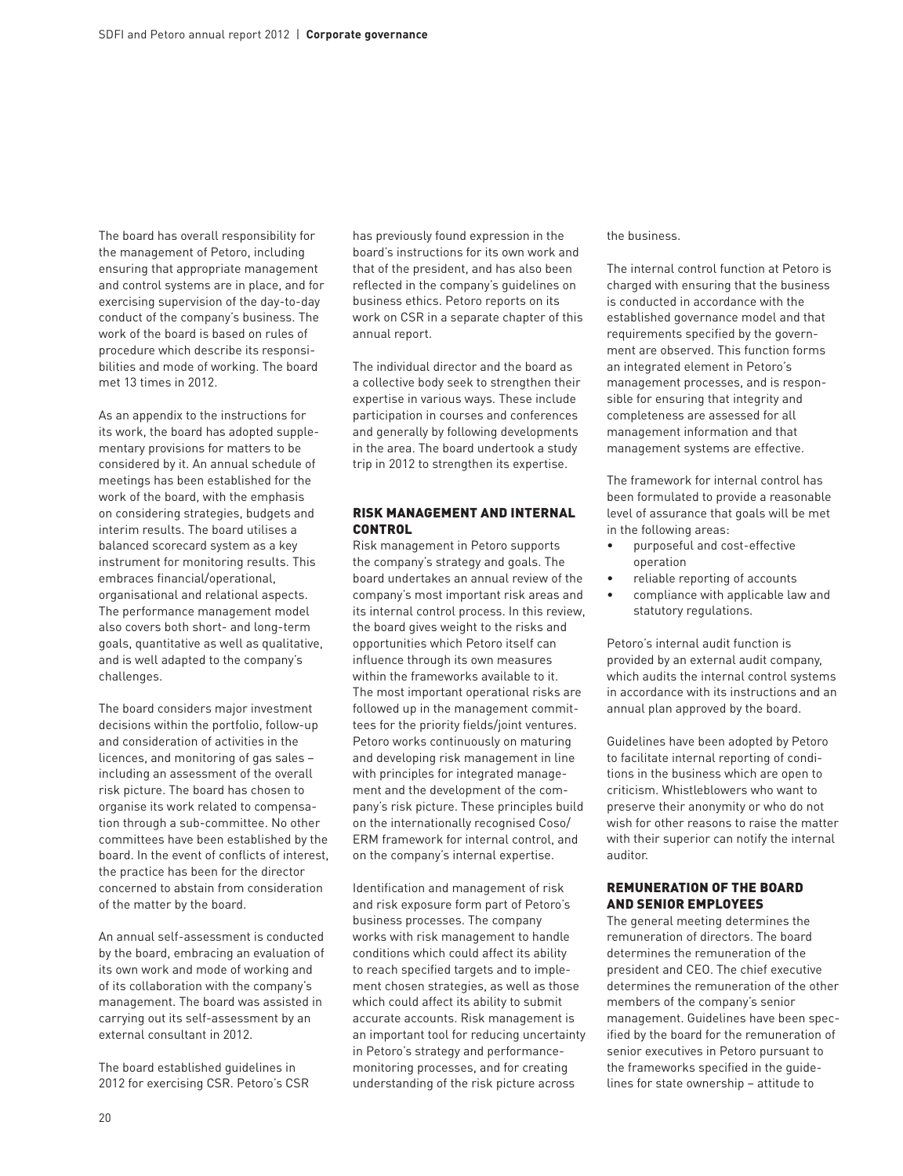The board has overall responsibility for the management of Petoro, including ensuring that appropriate management and control systems are in place, and for exercising supervision of the day-to-day conduct of the company's business. The work of the board is based on rules of procedure which describe its responsibilities and mode of working. The board met 13 times in 2012.

As an appendix to the instructions for its work, the board has adopted supplementary provisions for matters to be considered by it. An annual schedule of meetings has been established for the work of the board, with the emphasis on considering strategies, budgets and interim results. The board utilises a balanced scorecard system as a key instrument for monitoring results. This embraces financial/operational, organisational and relational aspects. The performance management model also covers both short- and long-term goals, quantitative as well as qualitative, and is well adapted to the company's challenges.

The board considers major investment decisions within the portfolio, follow-up and consideration of activities in the licences, and monitoring of gas sales – including an assessment of the overall risk picture. The board has chosen to organise its work related to compensation through a sub-committee. No other committees have been established by the board. In the event of conflicts of interest, the practice has been for the director concerned to abstain from consideration of the matter by the board.

An annual self-assessment is conducted by the board, embracing an evaluation of its own work and mode of working and of its collaboration with the company's management. The board was assisted in carrying out its self-assessment by an external consultant in 2012.

The board established guidelines in 2012 for exercising CSR. Petoro's CSR has previously found expression in the board's instructions for its own work and that of the president, and has also been reflected in the company's guidelines on business ethics. Petoro reports on its work on CSR in a separate chapter of this annual report.

The individual director and the board as a collective body seek to strengthen their expertise in various ways. These include participation in courses and conferences and generally by following developments in the area. The board undertook a study trip in 2012 to strengthen its expertise.

## Risk management and internal **CONTROL**

Risk management in Petoro supports the company's strategy and goals. The board undertakes an annual review of the company's most important risk areas and its internal control process. In this review, the board gives weight to the risks and opportunities which Petoro itself can influence through its own measures within the frameworks available to it. The most important operational risks are followed up in the management committees for the priority fields/joint ventures. Petoro works continuously on maturing and developing risk management in line with principles for integrated management and the development of the company's risk picture. These principles build on the internationally recognised Coso/ ERM framework for internal control, and on the company's internal expertise.

Identification and management of risk and risk exposure form part of Petoro's business processes. The company works with risk management to handle conditions which could affect its ability to reach specified targets and to implement chosen strategies, as well as those which could affect its ability to submit accurate accounts. Risk management is an important tool for reducing uncertainty in Petoro's strategy and performancemonitoring processes, and for creating understanding of the risk picture across

the business.

The internal control function at Petoro is charged with ensuring that the business is conducted in accordance with the established governance model and that requirements specified by the government are observed. This function forms an integrated element in Petoro's management processes, and is responsible for ensuring that integrity and completeness are assessed for all management information and that management systems are effective.

The framework for internal control has been formulated to provide a reasonable level of assurance that goals will be met in the following areas:

- purposeful and cost-effective operation
- • reliable reporting of accounts
- compliance with applicable law and statutory regulations.

Petoro's internal audit function is provided by an external audit company, which audits the internal control systems in accordance with its instructions and an annual plan approved by the board.

Guidelines have been adopted by Petoro to facilitate internal reporting of conditions in the business which are open to criticism. Whistleblowers who want to preserve their anonymity or who do not wish for other reasons to raise the matter with their superior can notify the internal auditor.

## Remuneration of the board and senior employees

The general meeting determines the remuneration of directors. The board determines the remuneration of the president and CEO. The chief executive determines the remuneration of the other members of the company's senior management. Guidelines have been specified by the board for the remuneration of senior executives in Petoro pursuant to the frameworks specified in the guidelines for state ownership – attitude to